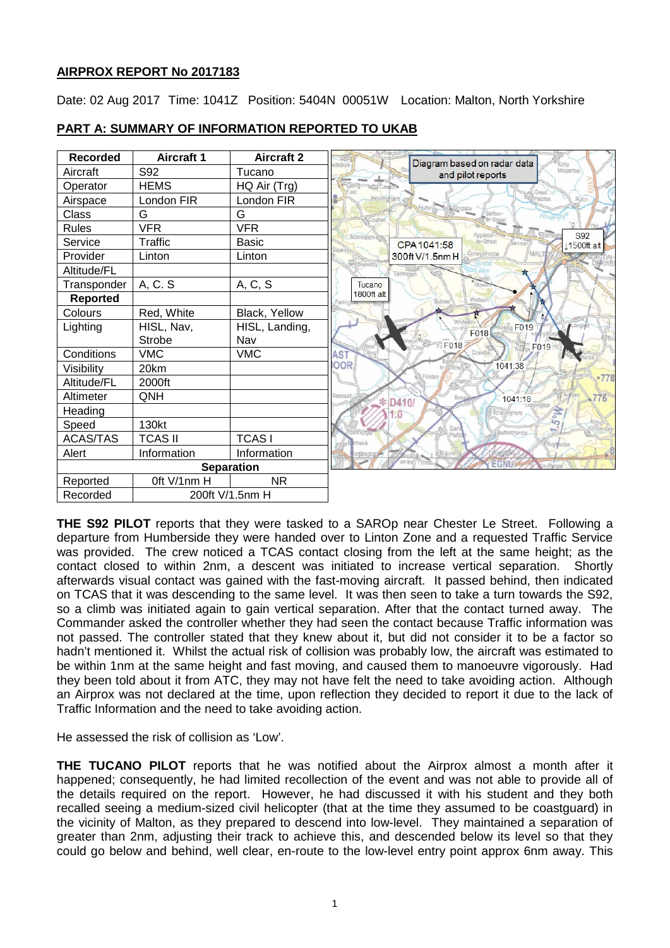# **AIRPROX REPORT No 2017183**

Date: 02 Aug 2017 Time: 1041Z Position: 5404N 00051W Location: Malton, North Yorkshire



# **PART A: SUMMARY OF INFORMATION REPORTED TO UKAB**

**THE S92 PILOT** reports that they were tasked to a SAROp near Chester Le Street. Following a departure from Humberside they were handed over to Linton Zone and a requested Traffic Service was provided. The crew noticed a TCAS contact closing from the left at the same height; as the contact closed to within 2nm, a descent was initiated to increase vertical separation. Shortly afterwards visual contact was gained with the fast-moving aircraft. It passed behind, then indicated on TCAS that it was descending to the same level. It was then seen to take a turn towards the S92, so a climb was initiated again to gain vertical separation. After that the contact turned away. The Commander asked the controller whether they had seen the contact because Traffic information was not passed. The controller stated that they knew about it, but did not consider it to be a factor so hadn't mentioned it. Whilst the actual risk of collision was probably low, the aircraft was estimated to be within 1nm at the same height and fast moving, and caused them to manoeuvre vigorously. Had they been told about it from ATC, they may not have felt the need to take avoiding action. Although an Airprox was not declared at the time, upon reflection they decided to report it due to the lack of Traffic Information and the need to take avoiding action.

He assessed the risk of collision as 'Low'.

**THE TUCANO PILOT** reports that he was notified about the Airprox almost a month after it happened; consequently, he had limited recollection of the event and was not able to provide all of the details required on the report. However, he had discussed it with his student and they both recalled seeing a medium-sized civil helicopter (that at the time they assumed to be coastguard) in the vicinity of Malton, as they prepared to descend into low-level. They maintained a separation of greater than 2nm, adjusting their track to achieve this, and descended below its level so that they could go below and behind, well clear, en-route to the low-level entry point approx 6nm away. This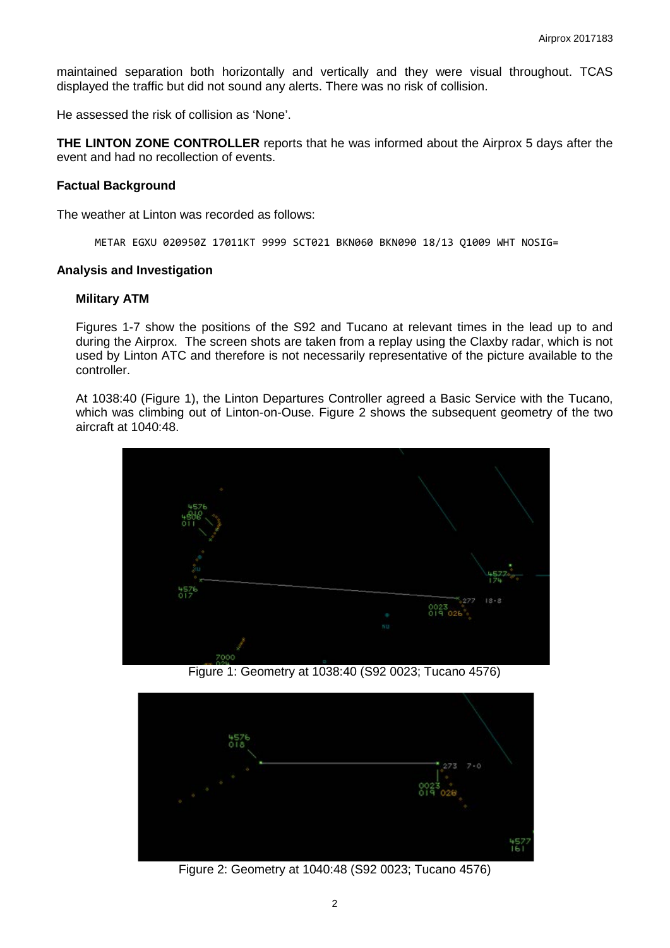maintained separation both horizontally and vertically and they were visual throughout. TCAS displayed the traffic but did not sound any alerts. There was no risk of collision.

He assessed the risk of collision as 'None'.

**THE LINTON ZONE CONTROLLER** reports that he was informed about the Airprox 5 days after the event and had no recollection of events.

#### **Factual Background**

The weather at Linton was recorded as follows:

METAR EGXU 020950Z 17011KT 9999 SCT021 BKN060 BKN090 18/13 Q1009 WHT NOSIG=

#### **Analysis and Investigation**

#### **Military ATM**

Figures 1-7 show the positions of the S92 and Tucano at relevant times in the lead up to and during the Airprox. The screen shots are taken from a replay using the Claxby radar, which is not used by Linton ATC and therefore is not necessarily representative of the picture available to the controller.

At 1038:40 (Figure 1), the Linton Departures Controller agreed a Basic Service with the Tucano, which was climbing out of Linton-on-Ouse. Figure 2 shows the subsequent geometry of the two aircraft at 1040:48.



Figure 1: Geometry at 1038:40 (S92 0023; Tucano 4576)



Figure 2: Geometry at 1040:48 (S92 0023; Tucano 4576)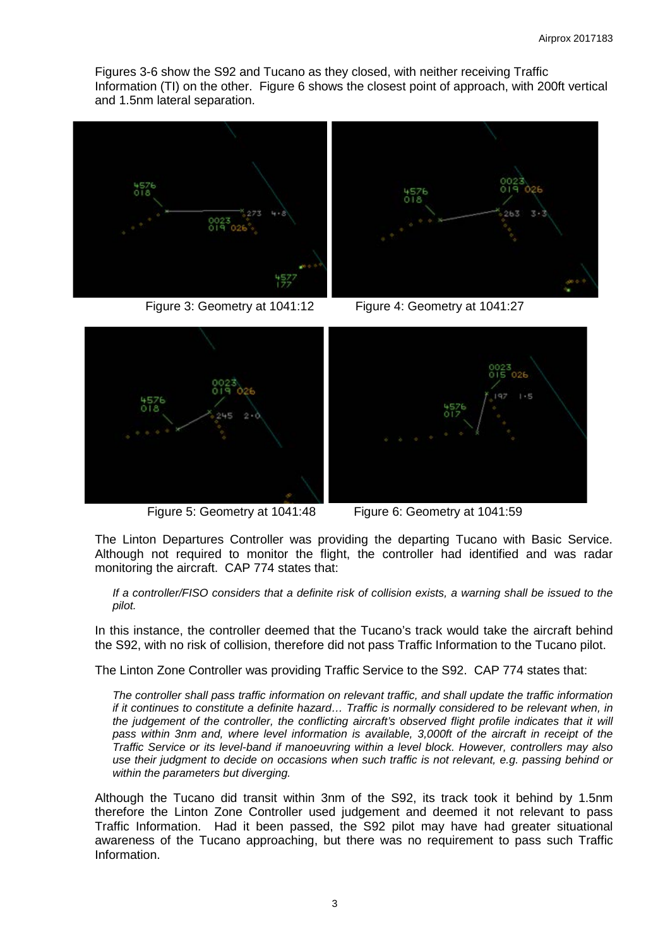Figures 3-6 show the S92 and Tucano as they closed, with neither receiving Traffic Information (TI) on the other. Figure 6 shows the closest point of approach, with 200ft vertical and 1.5nm lateral separation.



Figure 3: Geometry at 1041:12 Figure 4: Geometry at 1041:27







Figure 5: Geometry at 1041:48 Figure 6: Geometry at 1041:59

The Linton Departures Controller was providing the departing Tucano with Basic Service. Although not required to monitor the flight, the controller had identified and was radar monitoring the aircraft. CAP 774 states that:

*If a controller/FISO considers that a definite risk of collision exists, a warning shall be issued to the pilot.*

In this instance, the controller deemed that the Tucano's track would take the aircraft behind the S92, with no risk of collision, therefore did not pass Traffic Information to the Tucano pilot.

The Linton Zone Controller was providing Traffic Service to the S92. CAP 774 states that:

*The controller shall pass traffic information on relevant traffic, and shall update the traffic information if it continues to constitute a definite hazard... Traffic is normally considered to be relevant when, in the judgement of the controller, the conflicting aircraft's observed flight profile indicates that it will*  pass within 3nm and, where level information is available, 3,000ft of the aircraft in receipt of the *Traffic Service or its level-band if manoeuvring within a level block. However, controllers may also use their judgment to decide on occasions when such traffic is not relevant, e.g. passing behind or within the parameters but diverging.*

Although the Tucano did transit within 3nm of the S92, its track took it behind by 1.5nm therefore the Linton Zone Controller used judgement and deemed it not relevant to pass Traffic Information. Had it been passed, the S92 pilot may have had greater situational awareness of the Tucano approaching, but there was no requirement to pass such Traffic Information.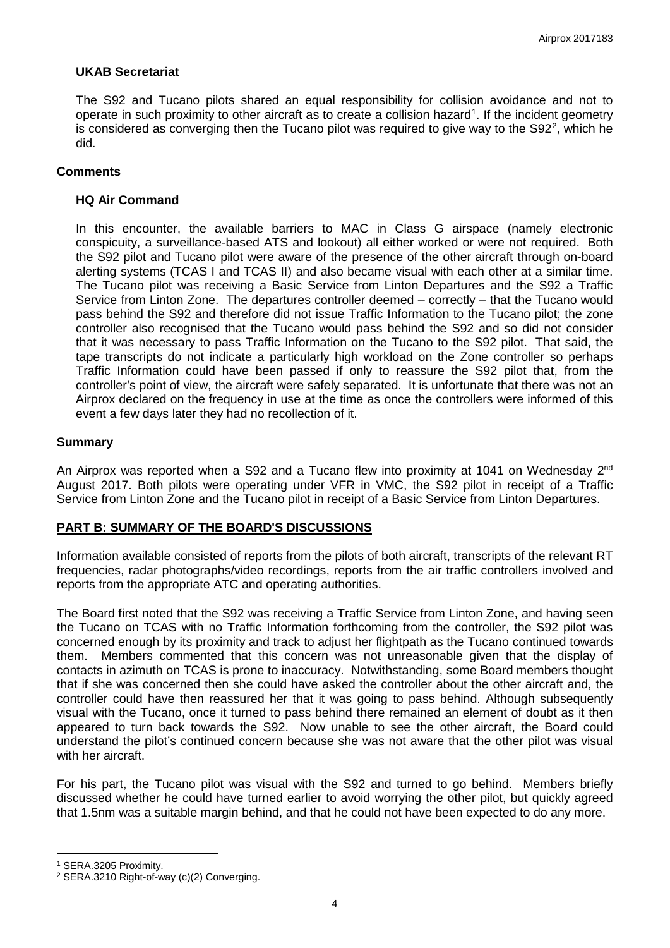## **UKAB Secretariat**

The S92 and Tucano pilots shared an equal responsibility for collision avoidance and not to operate in such proximity to other aircraft as to create a collision hazard<sup>[1](#page-3-0)</sup>. If the incident geometry is considered as converging then the Tucano pilot was required to give way to the S9[2](#page-3-1)<sup>2</sup>, which he did.

## **Comments**

## **HQ Air Command**

In this encounter, the available barriers to MAC in Class G airspace (namely electronic conspicuity, a surveillance-based ATS and lookout) all either worked or were not required. Both the S92 pilot and Tucano pilot were aware of the presence of the other aircraft through on-board alerting systems (TCAS I and TCAS II) and also became visual with each other at a similar time. The Tucano pilot was receiving a Basic Service from Linton Departures and the S92 a Traffic Service from Linton Zone. The departures controller deemed – correctly – that the Tucano would pass behind the S92 and therefore did not issue Traffic Information to the Tucano pilot; the zone controller also recognised that the Tucano would pass behind the S92 and so did not consider that it was necessary to pass Traffic Information on the Tucano to the S92 pilot. That said, the tape transcripts do not indicate a particularly high workload on the Zone controller so perhaps Traffic Information could have been passed if only to reassure the S92 pilot that, from the controller's point of view, the aircraft were safely separated. It is unfortunate that there was not an Airprox declared on the frequency in use at the time as once the controllers were informed of this event a few days later they had no recollection of it.

## **Summary**

An Airprox was reported when a S92 and a Tucano flew into proximity at 1041 on Wednesday 2<sup>nd</sup> August 2017. Both pilots were operating under VFR in VMC, the S92 pilot in receipt of a Traffic Service from Linton Zone and the Tucano pilot in receipt of a Basic Service from Linton Departures.

#### **PART B: SUMMARY OF THE BOARD'S DISCUSSIONS**

Information available consisted of reports from the pilots of both aircraft, transcripts of the relevant RT frequencies, radar photographs/video recordings, reports from the air traffic controllers involved and reports from the appropriate ATC and operating authorities.

The Board first noted that the S92 was receiving a Traffic Service from Linton Zone, and having seen the Tucano on TCAS with no Traffic Information forthcoming from the controller, the S92 pilot was concerned enough by its proximity and track to adjust her flightpath as the Tucano continued towards them. Members commented that this concern was not unreasonable given that the display of contacts in azimuth on TCAS is prone to inaccuracy. Notwithstanding, some Board members thought that if she was concerned then she could have asked the controller about the other aircraft and, the controller could have then reassured her that it was going to pass behind. Although subsequently visual with the Tucano, once it turned to pass behind there remained an element of doubt as it then appeared to turn back towards the S92. Now unable to see the other aircraft, the Board could understand the pilot's continued concern because she was not aware that the other pilot was visual with her aircraft.

For his part, the Tucano pilot was visual with the S92 and turned to go behind. Members briefly discussed whether he could have turned earlier to avoid worrying the other pilot, but quickly agreed that 1.5nm was a suitable margin behind, and that he could not have been expected to do any more.

l

<span id="page-3-0"></span><sup>1</sup> SERA.3205 Proximity.

<span id="page-3-1"></span><sup>2</sup> SERA.3210 Right-of-way (c)(2) Converging.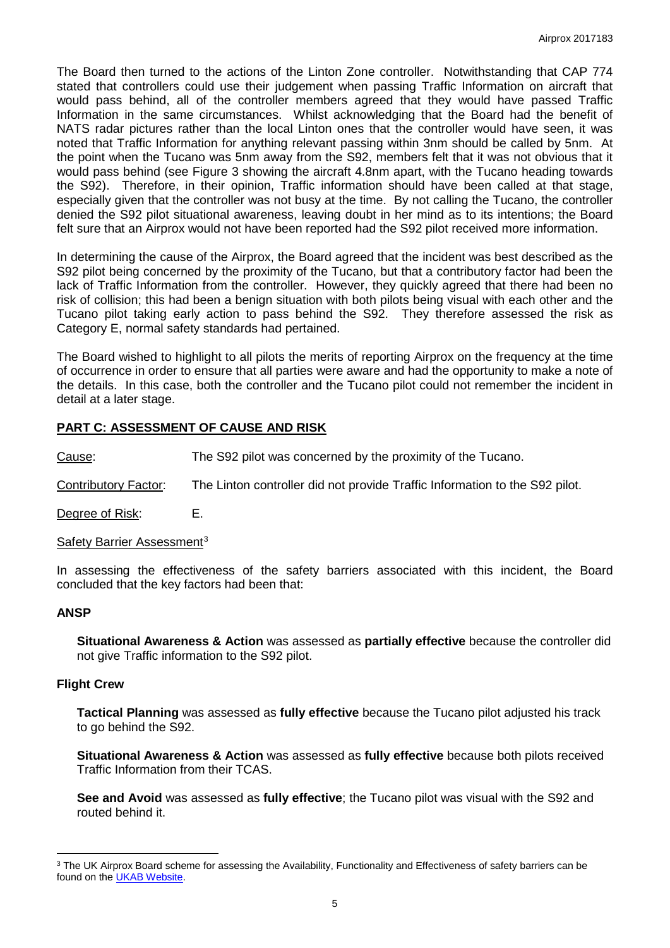The Board then turned to the actions of the Linton Zone controller. Notwithstanding that CAP 774 stated that controllers could use their judgement when passing Traffic Information on aircraft that would pass behind, all of the controller members agreed that they would have passed Traffic Information in the same circumstances. Whilst acknowledging that the Board had the benefit of NATS radar pictures rather than the local Linton ones that the controller would have seen, it was noted that Traffic Information for anything relevant passing within 3nm should be called by 5nm. At the point when the Tucano was 5nm away from the S92, members felt that it was not obvious that it would pass behind (see Figure 3 showing the aircraft 4.8nm apart, with the Tucano heading towards the S92). Therefore, in their opinion, Traffic information should have been called at that stage, especially given that the controller was not busy at the time. By not calling the Tucano, the controller denied the S92 pilot situational awareness, leaving doubt in her mind as to its intentions; the Board felt sure that an Airprox would not have been reported had the S92 pilot received more information.

In determining the cause of the Airprox, the Board agreed that the incident was best described as the S92 pilot being concerned by the proximity of the Tucano, but that a contributory factor had been the lack of Traffic Information from the controller. However, they quickly agreed that there had been no risk of collision; this had been a benign situation with both pilots being visual with each other and the Tucano pilot taking early action to pass behind the S92. They therefore assessed the risk as Category E, normal safety standards had pertained.

The Board wished to highlight to all pilots the merits of reporting Airprox on the frequency at the time of occurrence in order to ensure that all parties were aware and had the opportunity to make a note of the details. In this case, both the controller and the Tucano pilot could not remember the incident in detail at a later stage.

## **PART C: ASSESSMENT OF CAUSE AND RISK**

Cause: The S92 pilot was concerned by the proximity of the Tucano.

Contributory Factor: The Linton controller did not provide Traffic Information to the S92 pilot.

Degree of Risk: E.

Safety Barrier Assessment<sup>[3](#page-4-0)</sup>

In assessing the effectiveness of the safety barriers associated with this incident, the Board concluded that the key factors had been that:

## **ANSP**

l

**Situational Awareness & Action** was assessed as **partially effective** because the controller did not give Traffic information to the S92 pilot.

#### **Flight Crew**

**Tactical Planning** was assessed as **fully effective** because the Tucano pilot adjusted his track to go behind the S92.

**Situational Awareness & Action** was assessed as **fully effective** because both pilots received Traffic Information from their TCAS.

**See and Avoid** was assessed as **fully effective**; the Tucano pilot was visual with the S92 and routed behind it.

<span id="page-4-0"></span><sup>&</sup>lt;sup>3</sup> The UK Airprox Board scheme for assessing the Availability, Functionality and Effectiveness of safety barriers can be found on the [UKAB Website.](http://www.airproxboard.org.uk/Learn-more/Airprox-Barrier-Assessment/)